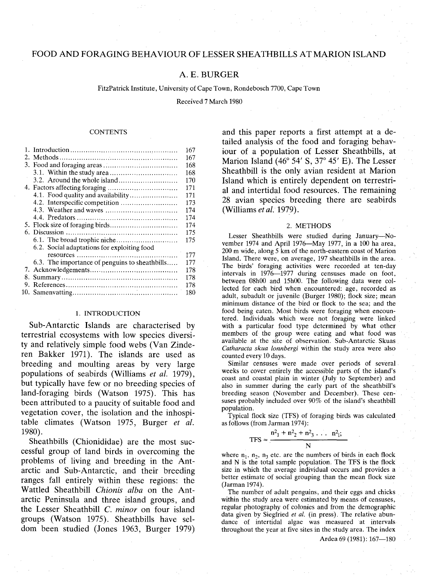# FOOD AND FORAGING BEHAVIOUR OF LESSER SHEATHBILLS AT MARION ISLAND

# A. E. BURGER

FitzPatrick Institute, University of Cape Town, Rondebosch 7700, Cape Town

Received 7 March 1980

### **CONTENTS**

|    |                                                | 167 |
|----|------------------------------------------------|-----|
|    |                                                | 167 |
|    |                                                | 168 |
|    |                                                | 168 |
|    |                                                | 170 |
|    |                                                | 171 |
|    | 4.1. Food quality and availability             | 171 |
|    |                                                | 173 |
|    |                                                | 174 |
|    |                                                | 174 |
|    |                                                | 174 |
|    |                                                | 175 |
|    |                                                | 175 |
|    | 6.2. Social adaptations for exploiting food    |     |
|    |                                                | 177 |
|    | 6.3. The importance of penguins to sheathbills | 177 |
|    |                                                | 178 |
| 8. |                                                | 178 |
|    |                                                | 178 |
|    |                                                | 180 |
|    |                                                |     |

### 1. INTRODUCTION

Sub-Antarctic Islands are characterised by terrestrial ecosystems with low species diversity and relatively simple food webs (Van Zinderen Bakker 1971). The islands are used as breeding and moulting areas by very large populations of seabirds (Williams *et al. 1979),* but typically have few or no breeding species of land-foraging birds (Watson 1975). This has been attributed to a paucity of suitable food and vegetation cover, the isolation and the inhospitable climates (Watson 1975, Burger *et al.* 1980).

Sheathbills (Chionididae) are the most successful group of land birds in overcoming the problems of living and breeding in the Antarctic and Sub-Antarctic, and their breeding ranges fall entirely within these regions: the Wattled Sheathbill *Chionis alba* on the Antarctic Peninsula and three island groups, and the Lesser Sheathbill C. *minor* on four island groups (Watson 1975). Sheathbills have seldom been studied (Jones 1963, Burger 1979)

and this paper reports a first attempt at a detailed analysis of the food and foraging behaviour of a population of Lesser Sheathbills, at Marion Island (46° 54' S, 37° 45' E). The Lesser Sheathbill is the only avian resident at Marion Island which is entirely dependent on terrestrial and intertidal food resources. The remaining 28 avian species breeding there are seabirds (Williams *et al. 1979).*

#### 2. METHODS

Lesser Sheathbills were studied during January-November 1974 and April 1976-May 1977, in a 100 ha area, 200 m wide, along 5 km of the north-eastern coast of Marion Island. There were, on average, 197 sheathbills in the area. The birds' foraging activities were recorded at ten-day intervals in 1976-1977 during censuses made on foot, between 08hOO and 15hOO. The following data were collected for each bird when encountered: age, recorded as adult, subadult or juvenile (Burger 1980); flock size; mean minimum distance of the bird or flock to the sea; and the food being eaten. Most birds were foraging when encountered. Individuals which were not foraging were linked with a particular food type determined by what other members of the group were eating and what food was available at the site of observation. Sub-Antarctic. Skuas *Catharacta skua lonnbergi* within the study area were also counted every 10 days.

Similar censuses were made over periods of several weeks to cover entirely the accessible parts of the island's coast and coastal plain in winter (July to September) and also in summer during the early part of the sheathbill's breeding season (November and December). These censuses probably included over 90% of the island's sheathbill population.

Typical flock size (TFS) of foraging birds was calculated as follows (from Jarman 1974):

$$
TFS = \frac{n^2_1 + n^2_2 + n^2_3 \dots n^2_1;}{N}
$$

where  $n_1$ ,  $n_2$ ,  $n_3$  etc. are the numbers of birds in each flock and N is the total sample population. The TFS is the flock size in which the average individual occurs and provides a better estimate of social grouping than the mean flock size (Jarman 1974).

The number of adult penguins, and their eggs and chicks within the study area were estimated by means of censuses, regular photography of colonies and from the demographic data given by Siegfried *et al.* (in press). The relative abundance of intertidal algae was measured at intervals throughout the year at five sites in the study area. The index

Ardea 69 (1981): 167-180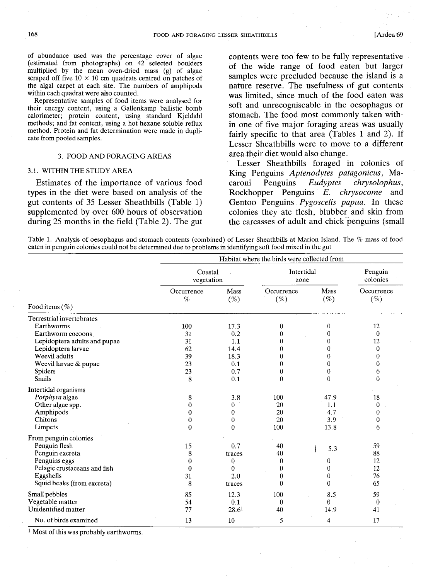of abundance used was the percentage cover of algae (estimated from photographs) on 42 selected boulders multiplied by the mean oven-dried mass (g) of algae scraped off five  $10 \times 10$  cm quadrats centred on patches of the algal carpet at each site. The numbers of amphipods within each quadrat were also counted.

Representative samples of food items were analysed for their energy content, using a Gallenkamp ballistic bomb calorimeter; protein content, using standard Kjeldahl methods; and fat content, using a hot hexane soluble reflux method. Protein and fat determination were made in duplicate from pooled samples.

#### 3. FOOD AND FORAGING AREAS

### 3.1. WITHIN THE STUDY AREA

Estimates of the importance of various food types in the diet were based on analysis of the gut contents or 35 Lesser Sheathbills (Table 1) supplemented by over 600 hours of observation during 25 months in the field (Table 2). The gut contents were too few to be fully representative of the wide range of food eaten but larger samples were precluded because the island is a nature reserve. The usefulness of gut contents was limited, since much of the food eaten was soft and unrecogniseable in the oesophagus or stomach. The food most commonly taken within one of five major foraging areas was usually fairly specific to that area (Tables 1 and 2). If Lesser Sheathbills were to move to a different area their diet would also change.

Lesser Sheathbills foraged in colonies of King Penguins *Aptenodytes patagonicus,* Macaroni Penguins *Eudyptes chrysolophus,* Rockhopper Penguins *E. chrysocome* and Gentoo Penguins *Pygoscelis papua.* In these colonies they ate flesh, blubber and skin from the carcasses of adult and chick penguins (small

Table 1. Analysis of oesophagus and stomach contents (combined) of Lesser Sheathbills at Marion Island. The % mass of food eaten in penguin colonies could not be determined due to problems in identifying soft food mixed in the gut

|                              |                    | Habitat where the birds were collected from |                      |                    |                      |  |  |
|------------------------------|--------------------|---------------------------------------------|----------------------|--------------------|----------------------|--|--|
|                              |                    | Coastal<br>vegetation                       |                      | Intertidal<br>zone |                      |  |  |
|                              | Occurrence<br>$\%$ | Mass<br>$(\%)$                              | Occurrence<br>$(\%)$ | Mass<br>$(\%)$     | Occurrence<br>$(\%)$ |  |  |
| Food items $(\%)$            |                    |                                             |                      |                    |                      |  |  |
| Terrestrial invertebrates    |                    |                                             |                      |                    |                      |  |  |
| Earthworms                   | 100                | 17.3                                        | $\bf{0}$             | 0                  | 12                   |  |  |
| Earthworm cocoons            | 31                 | 0.2                                         | 0                    | 0                  | $\theta$             |  |  |
| Lepidoptera adults and pupae | 31                 | 1.1                                         | $\overline{0}$       | 0                  | 12                   |  |  |
| Lepidoptera larvae           | 62                 | 14.4                                        | 0                    | 0                  | $\bf{0}$             |  |  |
| Weevil adults                | 39                 | 18.3                                        | 0                    | 0                  | 0                    |  |  |
| Weevil larvae & pupae        | 23                 | 0.1                                         | 0                    | $\theta$           | $\boldsymbol{0}$     |  |  |
| Spiders                      | 23                 | 0.7                                         | $\overline{0}$       | $\overline{0}$     | 6                    |  |  |
| <b>Snails</b>                | 8                  | 0.1                                         | $\theta$             | $\overline{0}$     | $\bf{0}$             |  |  |
| Intertidal organisms         |                    |                                             |                      |                    |                      |  |  |
| Porphyra algae               | 8                  | 3.8                                         | 100                  | 47.9               | 18                   |  |  |
| Other algae spp.             | $\boldsymbol{0}$   | $\bf{0}$                                    | 20                   | 1.1                | $\bf{0}$             |  |  |
| Amphipods                    | $\boldsymbol{0}$   | $\Omega$                                    | 20                   | 4.7                | $\theta$             |  |  |
| Chitons                      | $\bf{0}$           | 0                                           | 20                   | 3.9                | 0                    |  |  |
| Limpets                      | $\theta$           | $\theta$                                    | 100                  | 13.8               | 6                    |  |  |
| From penguin colonies        |                    |                                             |                      |                    |                      |  |  |
| Penguin flesh                | 15                 | 0.7                                         | 40                   | 5.3                | 59                   |  |  |
| Penguin excreta              | 8                  | traces                                      | 40                   |                    | 88                   |  |  |
| Penguins eggs                | 0                  | 0                                           | $\theta$             | 0                  | 12                   |  |  |
| Pelagic crustaceans and fish | $\theta$           | 0                                           | 0                    | 0                  | 12                   |  |  |
| Eggshells                    | 31                 | 2.0                                         | $\overline{0}$       | 0                  | 76                   |  |  |
| Squid beaks (from excreta)   | 8                  | traces                                      | $\overline{0}$       | 0                  | 65                   |  |  |
| Small pebbles                | 85                 | 12.3                                        | 100                  | 8.5                | 59                   |  |  |
| Vegetable matter             | 54                 | 0.1                                         | $\theta$             | 0                  | $\bf{0}$             |  |  |
| Unidentified matter          | 77                 | 28.6 <sup>1</sup>                           | 40                   | 14.9               | 41                   |  |  |
| No. of birds examined        | 13                 | 10                                          | 5                    | 4                  | 17                   |  |  |

<sup>1</sup> Most of this was probably earthworms.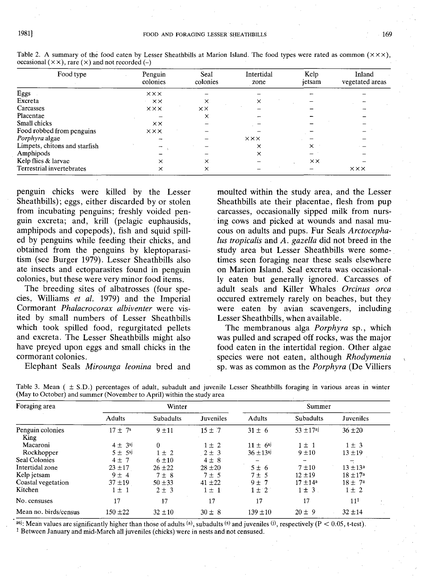| Food type                     | Penguin<br>colonies  | Seal<br>colonies | Intertidal<br>zone   | Kelp<br>jetsam | Inland<br>vegetated areas |
|-------------------------------|----------------------|------------------|----------------------|----------------|---------------------------|
| Eggs                          | $\times\times\times$ |                  |                      |                |                           |
| Excreta                       | $\times\times$       | ×                | $\times$             |                |                           |
| Carcasses                     | $X$ $X$ $X$          | $\times\times$   |                      |                |                           |
| Placentae                     |                      | ×                |                      |                |                           |
| Small chicks                  | $\times\times$       |                  |                      |                |                           |
| Food robbed from penguins     | $x \times x$         |                  |                      |                |                           |
| Porphyra algae                |                      |                  | $\times\times\times$ |                |                           |
| Limpets, chitons and starfish |                      |                  | ×                    | x              |                           |
| Amphipods                     |                      |                  | ×                    |                |                           |
| Kelp flies & larvae           | $\times$             | ×                |                      | $\times\times$ |                           |
| Terrestrial invertebrates     | ×                    | ×                |                      |                | <b>XXX</b>                |

Table 2. A summary of the food eaten by Lesser Sheathbills at Marion Island. The food types were rated as common  $(\times \times \times)$ , occasional  $(\times \times)$ , rare  $(\times)$  and not recorded  $(-)$ 

penguin chicks were killed by the Lesser Sheathbills); eggs, either discarded by or stolen from incubating penguins; freshly voided penguin excreta; and, krill (pelagic euphausids, amphipods and copepods), fish and squid spilled by penguins while feeding their chicks, and obtained from the penguins by kleptoparasitism (see Burger 1979). Lesser Sheathbills also ate insects and ectoparasites found in penguin colonies, but these were very minor food items.

The breeding sites of albatrosses (four species, Williams *et al.* 1979) and the Imperial Cormorant *Phalacrocorax albiventer* were visited by small numbers of Lesser SheathbiHs which took spilled food, regurgitated pellets and excreta. The Lesser Sheathbills might also have preyed upon eggs and small chicks in the cormorant colonies.

Elephant Seals *Mirounga leonina* bred and

moulted within the study area, and the Lesser Sheathbills ate their placentae, flesh from pup carcasses, occasionally sipped milk from nursing cows and picked at wounds and nasal mucous on adults and pups. Fur Seals *Arctocephaius tropicalis* and *A. gazella* did not breed in the study area but Lesser Sheathbills were sometimes seen foraging near these seals elsewhere on Marion Island. Seal excreta was occasionally eaten but generally ignored. Carcasses of adult seals and Killer Whales *Orcinus orca* occured extremely rarely on beaches, but they were eaten by avian scavengers, including Lesser Sheathbills, when available.

The membranous alga *Porphyra* sp., which was pulled and scraped off rocks, was the major food eaten in the intertidal region. Other algae species were not eaten, although *Rhodymenia* sp. was as common as the *Porphyra* (De Villiers

| Foraging area                                        |               | Winter           |             |                 | Summer         |                     |  |
|------------------------------------------------------|---------------|------------------|-------------|-----------------|----------------|---------------------|--|
| King<br>Macaroni<br>Rockhopper<br>Coastal vegetation | <b>Adults</b> | <b>Subadults</b> | Juveniles   | Adults          | Subadults      | Juveniles           |  |
| Penguin colonies                                     | $17 + 7^s$    | $9 + 11$         | $15 \pm 7$  | $31 \pm 6$      | $53 + 17^{a}j$ | $36 \pm 20$         |  |
|                                                      | $4 \pm 3$ sj  | $\theta$         | $1 \pm 2$   | $11 \pm 6^{sj}$ | $1 \pm 1$      | $1 \pm 3$           |  |
|                                                      | $5 \pm 5$ si  | $1 \pm 2$        | $2 \pm 3$   | $36 + 13$ si    | $9 + 10$       | $13 + 19$           |  |
| Seal Colonies                                        | $4 \pm 7$     | 6±10             | $4 \pm 8$   |                 |                | F.                  |  |
| Intertidal zone                                      | $23 + 17$     | $26 \pm 22$      | $28 \pm 20$ | $5 \pm 6$       | $7 + 10$       | $13 \pm 13^a$       |  |
| Kelp jetsam                                          | $9 \pm 4$     | $7 \pm 8$        | $7 \pm 5$   | $7 \pm 5$       | $12 + 19$      | $18 \pm 17^{\rm a}$ |  |
|                                                      | $37 + 19$     | $50 + 33$        | $41 \pm 22$ | $9 \pm 7$       | $17 \pm 14^a$  | $18 \pm 7^{\circ}$  |  |
| Kitchen                                              | $1 \pm 1$     | $2 + 3$          | $1 \pm 1$   | $1 \pm 2$       | $1 \pm 3$      | $1 \pm 2$           |  |
| No. censuses                                         | 17            | 17               | 17          | 17              | 17             | 11 <sup>1</sup>     |  |
| Mean no. birds/census                                | $150 \pm 22$  | $32 \pm 10$      | $30 \pm 8$  | $139 \pm 10$    | $20 \pm 9$     | $32 + 14$           |  |

Table 3. Mean ( ± S.D.) percentages of adult, subadult and juvenile Lesser Sheathbills foraging in various areas in winter (May to October) and summer (November to April) within the study area

asj: Mean values are significantly higher than those of adults  $(a)$ , subadults  $(s)$  and juveniles  $(i)$ , respectively (P < 0.05, t-test). 1 Between January and mid-March all juveniles (chicks) were in nests and not censused.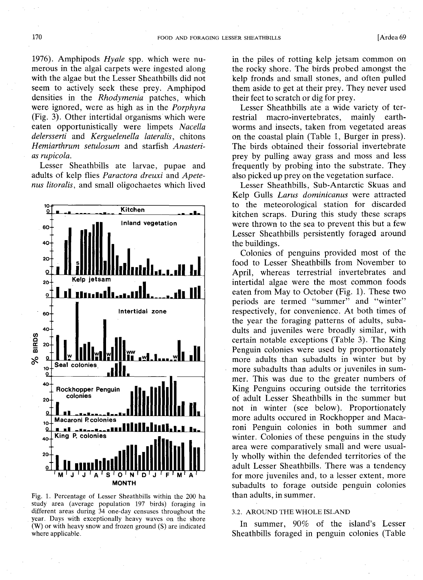1976). Amphipods *Hyale* spp. which were numerous in the algal carpets were ingested along with the algae but the Lesser Sheathbills did not seem to actively seek these prey. Amphipod densities in the *Rhodymenia* patches, which were ignored, were as high as in the *Porphyra* (Fig. 3). Other intertidal organisms which were eaten opportunistically were limpets *Nacella delersserti* and *Kerguelenella lateralis,* chitons *Hemiarthrum setulosum* and starfish *Anasterias rupicola.*

Lesser Sheathbills ate larvae, pupae and adults of kelp flies *Paractora dreuxi* and *Apetenus litoralis,* and small oligochaetes which lived



Fig. 1. Percentage of Lesser Sheathbills within the 200 ha study area (average population 197 birds) foraging in different areas during 34 one-day censuses throughout the year. Days with exceptionally heavy waves on the shore (W) or with heavy snow and frozen ground (S) are indicated where applicable.

in the piles of rotting kelp jetsam common on the rocky shore. The birds probed amongst the kelp fronds and small stones, and often pulled them aside to get at their prey. They never used their feet to scratch or dig for prey.

Lesser Sheathbills ate a wide variety of terrestrial macro-invertebrates, mainly earthworms and insects, taken from vegetated areas on the coastal plain (Table 1, Burger in press). The birds obtained their fossorial invertebrate prey by pulling away grass and moss and less frequently by probing into the substrate. They also picked up prey on the vegetation surface.

Lesser Sheathbills, Sub-Antarctic Skuas and Kelp Gulls *Larus dominicanus* were attracted to the meteorological station for discarded kitchen scraps. During this study these scraps were thrown to the sea to prevent this but a few Lesser Sheathbills persistently foraged around the buildings.

Colonies of penguins provided most of the food to Lesser Sheathbills from November to April, whereas terrestrial invertebrates and intertidal algae were the most common foods eaten from May to October (Fig. 1). These two periods are termed "summer" and "winter" respectively, for convenience. At both times of the year the foraging patterns of adults, subadults and juveniles were broadly similar, with certain notable exceptions (Table 3). The King Penguin colonies were used by proportionately more adults than subadults in winter but by more subadults than adults or juveniles in summer. This was due to the greater numbers of King Penguins occuring outside the territories of adult Lesser Sheathbills in the summer but not in winter (see below). Proportionately more adults occured in Rockhopper and Macaroni Penguin colonies in both summer and winter. Colonies of these penguins in the study area were comparatively small and were usually wholly within the defended territories of the adult Lesser Sheathbills. There was a tendency for more juveniles and, to a lesser extent, more subadults to forage outside penguin colonies than adults, in summer.

## 3.2. AROUND THE WHOLE ISLAND

In summer, 90% of the island's Lesser Sheathbills foraged in penguin colonies (Table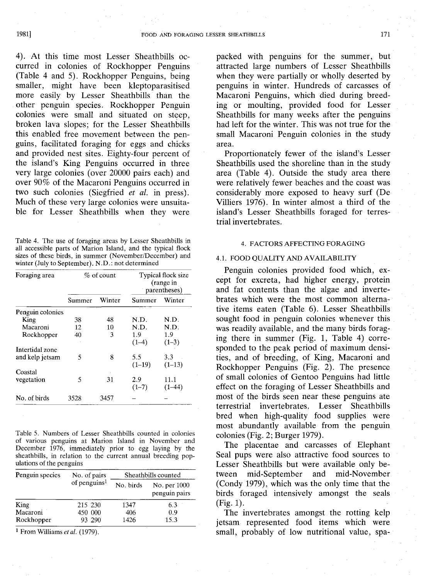4). At this time most Lesser Sheathbills occurred in colonies of Rockhopper Penguins (Table 4 and 5). Rockhopper Penguins, being smaller, might have been kleptoparasitised more easily by Lesser Sheathbills than the other penguin species. Rockhopper Penguin colonies were small and situated on steep, broken lava slopes; for the Lesser Sheathbills this enabled free movement between the penguins, facilitated foraging for eggs and chicks and provided nest sites. Eighty-four percent of the island's King Penguins occurred in three very large colonies (over 20000 pairs each) and over 90% of the Macaroni Penguins occurred in two such colonies (Siegfried *et al.* in press). Much of these very large colonies were unsuitable for Lesser Sheathbills when they were

Table 4. The use of foraging areas by Lesser Sheathbills in all accessible parts of Marion Island, and the typical flock sizes of these birds, in summer (November/December) and winter (July to September). N.D.: not determined

| Foraging area    |        | $%$ of count | Typical flock size<br>(range in<br>parentheses) |          |  |
|------------------|--------|--------------|-------------------------------------------------|----------|--|
|                  | Summer | Winter       | Summer                                          | Winter   |  |
| Penguin colonies |        |              |                                                 |          |  |
| King             | 38     | 48           | N.D.                                            | N.D.     |  |
| Macaroni         | 12     | 10           | N.D.                                            | N.D.     |  |
| Rockhopper       | 40     | 3            | 1.9                                             | 1.9      |  |
|                  |        |              | $(1-4)$                                         | $(1-3)$  |  |
| Intertidal zone  |        |              |                                                 |          |  |
| and kelp jetsam  | 5      | 8            | 5.5                                             | 3.3      |  |
|                  |        |              | $(1-19)$                                        | $(1-13)$ |  |
| Coastal          |        |              |                                                 |          |  |
| vegetation       | 5      | 31           | 2.9                                             | 11.1     |  |
|                  |        |              | $(1-7)$                                         | $(1-44)$ |  |
| No. of birds     | 3528   | 3457         |                                                 |          |  |
|                  |        |              |                                                 |          |  |

Table 5. Numbers of Lesser Sheathbills counted in colonies of various penguins at Marion Island in November and December 1976, immediately prior to egg laying by the sheathbills, in relation to the current annual breeding populations of the penguins

| Penguin species | No. of pairs             | Sheathbills counted |                               |  |
|-----------------|--------------------------|---------------------|-------------------------------|--|
|                 | of penguins <sup>1</sup> | No. birds           | No. per 1000<br>penguin pairs |  |
| King            | 215 230                  | 1347                | 6.3                           |  |
| Macaroni        | 450 000                  | 406                 | 0.9                           |  |
| Rockhopper      | 93 290                   | 1426                | 15.3                          |  |

1 From Williams *et* at. (1979).

packed with penguins for the summer, but attracted large numbers of Lesser Sheathbills when they were partially or wholly deserted by penguins in winter. Hundreds of carcasses of Macaroni Penguins, which died during breeding or moulting, provided food for Lesser Sheathbills for many weeks after the penguins had left for the winter. This was not true for the small Macaroni Penguin colonies in the study area.

Proportionately fewer of the island's Lesser Sheathbills used the shoreline than in the study area (Table 4). Outside the study area there were relatively fewer beaches and the coast was considerably more exposed to heavy surf (De Villiers 1976). **In** winter almost a third of the island's Lesser Sheathbills foraged for terrestrial invertebrates.

# 4. FACTORS AFFECTING FORAGING

## 4.1. FOOD QUALITY AND AVAILABILITY

Penguin colonies provided food which, except for excreta, had higher energy, protein and fat contents than the algae and invertebrates which were the most common alternative items eaten (Table 6). Lesser Sheathbills sought food in penguin colonies whenever this was readily available, and the many birds foraging there in summer (Fig. 1, Table 4) corresponded to the peak period of maximum densities, and of breeding, of King, Macaroni and Rockhopper Penguins (Fig. 2). The presence of small colonies of Gentoo Penguins had little effect on the foraging of Lesser Sheathbills and most of the birds seen near these penguins ate terrestrial invertebrates. Lesser Sheathbills bred when high-quality food supplies were most abundantly available from the penguin colonies (Fig. 2; Burger 1979).

The placentae and carcasses of Elephant Seal pups were also attractive food sources to Lesser Sheathbills but were available only between mid-September and mid-November (Condy 1979), which was the only time that the birds foraged intensively amongst the seals (Fig. 1).

The invertebrates amongst the rotting kelp jetsam represented food items which were small, probably of low nutritional value, spa-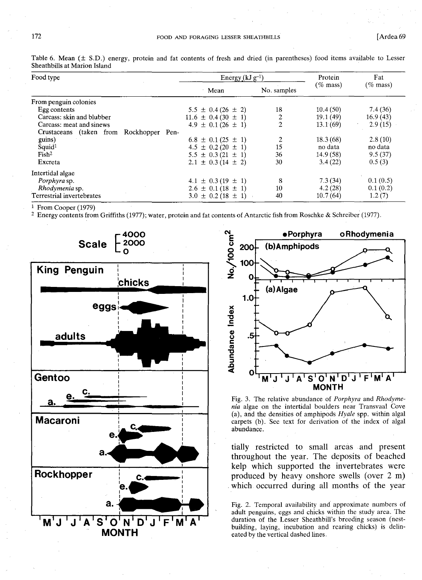# 172 FOOD AND FORAGING LESSER SHEATHBILLS [Ardea 69]

| Food type                                  | Energy $(kJ g^{-1})$                       |                | Protein     | Fat         |
|--------------------------------------------|--------------------------------------------|----------------|-------------|-------------|
|                                            | Mean                                       | No. samples    | $(\%$ mass) | $(\%$ mass) |
| From penguin colonies                      |                                            |                |             |             |
| Egg contents                               | $5.5 \pm 0.4(26 \pm 2)$                    | 18             | 10.4(50)    | 7.4(36)     |
| Carcass: skin and blubber                  | $11.6 \pm 0.4(30 \pm 1)$                   | 2              | 19.1 (49)   | 16.9(43)    |
| Carcass: meat and sinews                   | $4.9 \pm 0.1(26 \pm 1)$                    | $\overline{2}$ | 13.1(69)    | 2.9(15)     |
| Crustaceans (taken from<br>Rockhopper Pen- |                                            |                |             |             |
| guins)                                     | $6.8 \pm 0.1(25 \pm 1)$                    | 2              | 18.3(68)    | 2.8(10)     |
| Squid <sup>1</sup>                         | $4.5 \pm 0.2(20 \pm 1)$                    | 15             | no data     | no data     |
| Fish <sup>2</sup>                          | $5.5 \pm 0.3(21 \pm 1)$                    | 36             | 14.9 (58)   | 9.5(37)     |
| Excreta                                    | $2.1 \pm 0.3$ (14 $\pm$ 2)                 | 30             | 3.4(22)     | 0.5(3)      |
| Intertidal algae                           |                                            |                |             |             |
| Porphyra sp.                               | $4.1 \pm 0.3(19 \pm 1)$                    | 8              | 7.3(34)     | 0.1(0.5)    |
| Rhodymenia sp.                             | $2.6 \pm 0.1$ (18 $\pm$ 1)                 | 10             | 4.2(28)     | 0.1(0.2)    |
| Terrestrial invertebrates                  | $\pm$ 0.2 (18 $\pm$ 1)<br>3.0 <sub>1</sub> | 40             | 10.7(64)    | 1.2(7)      |

Table 6. Mean  $(\pm S.D.)$  energy, protein and fat contents of fresh and dried (in parentheses) food items available to Lesser Sheathbills at Marion Island

1 From Cooper (1979)

2 Energy contents from Griffiths (1977); water, protein and fat contents of Antarctic fish from Roschke & Schreiber (1977).





Fig. 3. The relative abundance of *Porphyra* and *Rhodymenia* algae on the intertidal boulders near Transvaal Cove (a), and the densities of amphipods *Hyale* spp. within algal carpets (b). See text for derivation of the index of algal abundance.

tially restricted to small areas and present throughout the year. The deposits of beached kelp which supported the invertebrates were produced by heavy onshore swells (over 2 m) which occurred during all months of the year

Fig. 2. Temporal availability and approximate numbers of adult penguins, eggs and chicks within the study area. The duration of the Lesser Sheathbill's breeding season (nestbuilding, laying, incubation and rearing chicks) is delineated by the vertical dashed lines.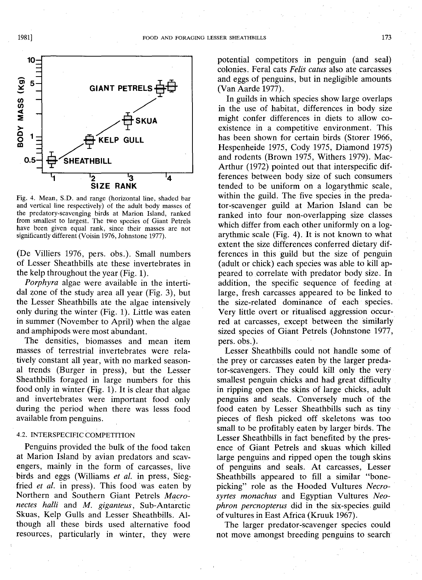

Fig. 4. Mean, S.D. and range (horizontal line, shaded bar and vertical line respectively) of the adult body masses of the predatory-scavenging birds at Marion Island, ranked from smallest to largest. The two species of Giant Petrels have been given equal rank, since their masses are not significantly different (Voisin 1976, Johnstone 1977).

(De Villiers 1976, pers. obs.). Small numbers of Lesser Sheathbills ate these invertebrates in the kelp throughout the year(Fig. 1).

*Porphyra* algae were available in the intertidal zone of the study area all year (Fig. 3), but the Lesser Sheathbills ate the algae intensively only during the winter (Fig. 1). Little was eaten in summer (November to April) when the algae and amphipods were most abundant.

The densities, biomasses and mean item masses of terrestrial invertebrates were relatively constant all year, with no marked seasonal trends (Burger in press), but the Lesser Sheathbills foraged in large numbers for this food only in winter (Fig. 1). It is clear that algae and invertebrates were important food only during the period when there was lesss food available from penguins.

# 4.2. INTERSPECIFIC COMPETITION

Penguins provided the bulk of the food taken at Marion Island by avian predators and scavengers, mainly in the form of carcasses, live birds and eggs (Williams *et al.* in press, Siegfried *et at.* in press). This food was eaten by Northern and Southern Giant Petrels *Macronectes halli* and *M. giganteus*, Sub-Antarctic Skuas, Kelp Gulls and Lesser Sheathbills. Although all these birds used alternative food resources, particularly in winter, they were

potential competitors in penguin (and seal) colonies. Feral cats *Felis catus* also ate carcasses and eggs of penguins, but in negligible amounts (Van Aarde 1977).

In guilds in which species show large overlaps in the use of habitat, differences in body size might confer differences in diets to allow coexistence in a competitive environment. This has been shown for certain birds (Storer 1966, Hespenheide 1975, Cody 1975, Diamond 1975) and rodents (Brown 1975, Withers 1979). Mac-Arthur (1972) pointed out that interspecific differences between body size of such consumers tended to be uniform on a logarythmic scale, within the guild, The five species in the predator-scavenger guild at Marion Island can be ranked into four non-overlapping.size classes which differ from each other uniformly on a logarythmic scale (Fig. 4). It is not known to what extent the size differences conferred dietary differences in this guild but the size of penguin (adult or chick) each species was able to kill appeared to correlate with predator body size. In addition, the specific sequence of feeding at large, fresh carcasses appeared to be linked to the size-related dominance of each species. Very little overt or ritualised aggression occurred at carcasses, except between the similarly sized species of Giant Petrels (Johnstone 1977, pers. obs.).

Lesser Sheathbills could not handle some of the prey or carcasses eaten by the larger predator-scavengers. They could kill only the very smallest penguin chicks and had great difficulty in ripping open the skins of large chicks, adult penguins and seals. Conversely much of the food eaten by Lesser Sheathbills such as tiny pieces of flesh picked off skeletons was too small to be profitably eaten by larger birds. The Lesser Sheathbills in fact benefited by the presence of Giant Petrels and skuas which killed large penguins and ripped open the tough skins of penguins and seals. At carcasses, Lesser Sheathbills appeared to fill a similar "bonepicking" role as the Hooded Vultures *Necrosyrtes monachus* and Egyptian Vultures *Neophron percnopterus* did in the six-species, guild of vultures in East Africa (Kruuk 1967).

The larger predator-scavenger species could not move amongst breeding penguins to search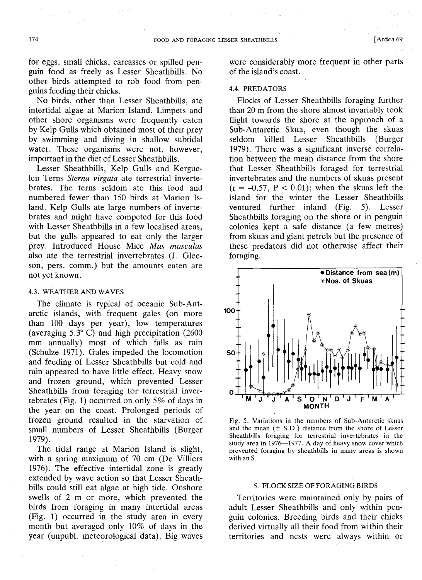for eggs, small chicks, carcasses or spilled penguin food as freely as Lesser Sheathbills. No other birds attempted to rob food from penguins feeding their chicks.

No birds, other than Lesser Sheathbills, ate intertidal algae at Marion Island. Limpets and other shore organisms were frequently eaten by Kelp Gulls which obtained most of their prey by swimming and diving in shallow subtidal water. These organisms were not, however, .important in the diet of Lesser Sheathbills.

Lesser Sheathbills, Kelp Gulls and Kerguelen Terns *Sterna virgata* ate terrestrial invertebrates. The terns seldom ate this food and numbered fewer than 150 birds at Marion Island. Kelp Gulls ate large numbers of invertebrates and might have competed for this food with Lesser Sheathbills in a few localised areas, but the gulls appeared to eat only the larger prey. Introduced House Mice *Mus musculus* also ate the terrestrial invertebrates (J. Gleeson, pers. comm.) but the amounts eaten are not yet known.

# 4.3. WEATHER AND WAVES

The climate is typical of oceanic Sub-Antarctic islands, with frequent gales (on more than 100 days per year), low temperatures (averaging 5.3 $^{\circ}$  C) and high precipitation (2600 mm annually) most of which falls as rain (Schulze 1971). Gales impeded the locomotion and feeding of Lesser Sheathbills but cold and rain appeared to have little effect. Heavy snow and frozen ground, which prevented Lesser Sheathbills from foraging for terrestrial invertebrates (Fig. 1) occurred on only 5% of days in the year on the coast. Prolonged periods of frozen ground resulted in the starvation of small numbers of Lesser Sheathbills (Burger 1979).

The tidal range at Marion Island is slight, with a spring maximum of 70 cm (De Villiers 1976). The effective intertidal zone is greatly extended by wave action so that Lesser Sheathbills could still eat algae at high tide. Onshore swells of 2 m or more, which prevented the birds from foraging in many intertidal areas (Fig. 1) occurred in the study area in every month but averaged only 10% of days in the year (unpubl. meteorological data). Big waves were considerably more frequent in other parts of the island's coast.

# 4.4. PREDATORS

Flocks of Lesser Sheathbills foraging further than 20 m from the shore almost invariably took flight towards the shore at the approach of a Sub-Antarctic Skua, even though the skuas seldom killed Lesser Sheathbills (Burger 1979). There was a significant inverse correlation between the mean distance from the shore that Lesser Sheathbills foraged for terrestrial invertebrates and the numbers of skuas present  $(r = -0.57, P < 0.01)$ ; when the skuas left the island for the winter the Lesser Sheathbills ventured further inland (Fig. 5). Lesser Sheathbills foraging on the shore or in penguin colonies kept a safe distance (a few metres) from skuas and giant petrels but the presence of these predators did not otherwise affect their foraging.



Fig. 5. Variations in the numbers of Sub-Antarctic skuas and the mean  $(\pm S.D.)$  distance from the shore of Lesser Sheathbills foraging for terrestrial invertebrates in the study area in  $1976-1977$ . A day of heavy snow cover which prevented foraging by sheathbills in many areas is shown with an S.

## 5. FLOCK SIZE OF FORAGING BIRDS

Territories were maintained only by pairs of adult Lesser Sheathbills and only within penguin colonies. Breeding birds and their chicks derived virtually all their food from within their territories and nests were always within or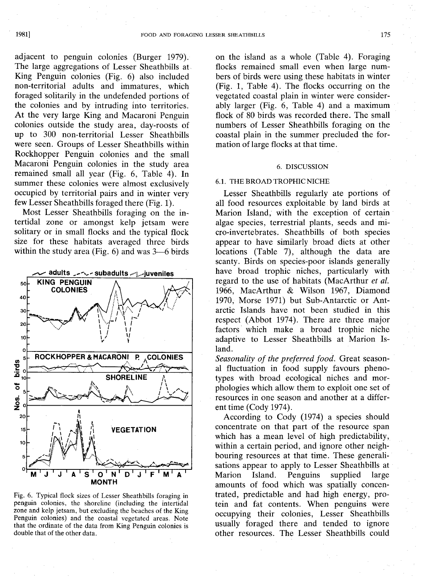adjacent to penguin colonies (Burger 1979). The large aggregations of Lesser Sheathbills at King Penguin colonies (Fig. 6) also included non-territorial adults and immatures, which foraged solitarily in the undefended portions of the colonies and by intruding into territories. At the very large King and Macaroni Penguin colonies outside the study area, day-roosts of up to 300 non-territorial Lesser Sheathbills were seen. Groups of Lesser Sheathbills within Rockhopper Penguin colonies and the small Macaroni Penguin colonies in the study area remained small all year (Fig. 6, Table 4). In summer these colonies were almost exclusively occupied by territorial. pairs and in winter very few Lesser Sheathbills foraged there (Fig. 1).

Most Lesser Sheathbills foraging on the intertidal zone or amongst kelp jetsam were solitary or in small flocks and the typical flock size for these habitats averaged three birds within the study area (Fig.  $6$ ) and was  $3-6$  birds



Fig. 6. Typical flock sizes of Lesser Sheathbills foraging in penguin colonies, the shoreline (including the intertidal zone and kelp jetsam, but excluding the beaches of the King Penguin colonies) and the coastal vegetated areas. Note that the ordinate of the data from King Penguin colonies is double that of the other data.

on the island as a whole (Table 4). Foraging flocks remained small even when large numbers of birds were using these habitats in winter (Fig. 1, Table 4). The flocks occurring on the vegetated coastal plain in winter were considerably larger (Fig. 6, Table 4) and a maximum flock of 80 birds was recorded there. The small numbers of Lesser Sheathbills foraging on the coastal plain in the summer precluded the formation of large flocks at that time.

# 6. DISCUSSION

### 6.1. THE BROAD TROPHIC NICHE

Lesser Sheathbills regularly ate portions of all food resources exploitable by land birds at Marion Island, with the exception of certain algae species, terrestrial plants, seeds and micro-invertebrates. Sheathbills of both species appear to have similarly broad diets at other locations (Table 7), although the data are scanty. Birds on species-poor islands generally have broad trophic niches, particularly with regard to the use of habitats (MacArthur *et at.* 1966, MacArthur & Wilson 1967, Diamond 1970, Morse 1971) but Sub-Antarctic or Antarctic Islands have not been studied in this respect (Abbot 1974). There are three major factors' which make a broad trophic niche adaptive to Lesser Sheathbills at Marion Island.

*Seasonality of the preferred food.* Great seasonal fluctuation in food supply favours phenotypes with broad ecological niches and morphologies which allow them to exploit one set of resources in one season and another at a different time (Cody 1974).

According to Cody (1974) a species should concentrate on that part of the resource span which has a mean level of high predictability, within a certain period, and ignore other neighbouring resources at that time. These generalisations appear to apply to Lesser Sheathbills at Marion Island. Penguins supplied large amounts of food which was spatially concentrated, predictable and had high energy, protein and fat contents. When penguins were occupying their colonies, Lesser Sheathbills usually foraged there and tended to ignore other resources. The Lesser Sheathbills could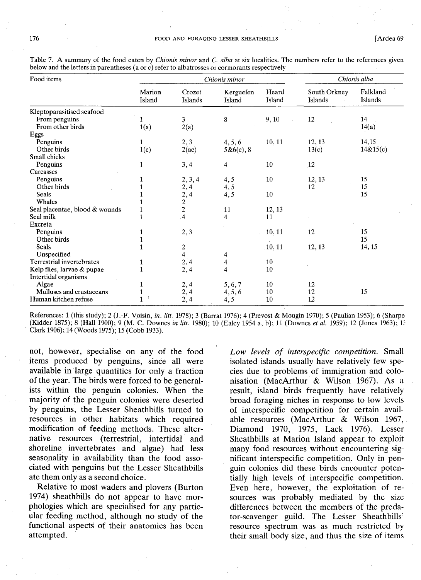| Food items                     | Chionis minor    |                         |                     |                 |                         | Chionis alba        |
|--------------------------------|------------------|-------------------------|---------------------|-----------------|-------------------------|---------------------|
|                                | Marion<br>Island | Crozet<br>Islands       | Kerguelen<br>Island | Heard<br>Island | South Orkney<br>Islands | Falkland<br>Islands |
| Kleptoparasitised seafood      |                  |                         |                     |                 |                         |                     |
| From penguins                  | 1                | 3                       | 8                   | 9, 10           | 12                      | 14                  |
| From other birds               | 1(a)             | 2(a)                    |                     |                 |                         | 14(a)               |
| Eggs                           |                  |                         |                     |                 |                         |                     |
| Penguins                       | $\mathbf{1}$     | 2, 3                    | 4, 5, 6             | 10, 11          | 12, 13                  | 14,15               |
| Other birds                    | 1(c)             | 2(ac)                   | 5&6(c), 8           |                 | 13(c)                   | 14&15(c)            |
| Small chicks                   |                  |                         |                     |                 |                         |                     |
| Penguins                       | $\mathbf{1}$     | 3,4                     | 4                   | 10              | 12                      |                     |
| Carcasses                      |                  |                         |                     |                 |                         |                     |
| Penguins                       | 1                | 2, 3, 4                 | 4, 5                | 10              | 12, 13                  | 15                  |
| Other birds                    | 1                | 2, 4                    | 4, 5                |                 | 12                      | 15                  |
| Seals                          |                  |                         | 4,5                 | 10              |                         | 15                  |
| Whales                         |                  |                         |                     |                 |                         |                     |
| Seal placentae, blood & wounds |                  | $\frac{2}{2}$ , 4<br>2  | 11                  | 12, 13          |                         |                     |
| Seal milk                      | 1                | ,4                      | 4                   | 11              |                         |                     |
| Excreta                        |                  |                         |                     |                 |                         |                     |
| Penguins                       | 1                | 2, 3                    |                     | 10, 11          | 12                      | 15                  |
| Other birds                    | 1                |                         |                     |                 |                         | 15                  |
| <b>Seals</b>                   | $\mathbf{1}$     | $\overline{\mathbf{c}}$ |                     | .10, 11         | 12, 13                  | 14, 15              |
| Unspecified                    |                  | $\overline{\mathbf{4}}$ | 4                   |                 |                         |                     |
| Terrestrial invertebrates      | 1                | 2,4                     | 4                   | 10              |                         |                     |
| Kelp flies, larvae & pupae     | 1                | 2,4                     | 4                   | 10              |                         |                     |
| Intertidal organisms           |                  |                         |                     |                 |                         |                     |
| Algae                          | 1                | 2, 4                    | 5, 6, 7             | 10              | 12                      |                     |
| Mulluscs and crustaceans       | $\mathbf{1}$     | 2,4                     | 4, 5, 6             | 10              | 12                      | 15                  |
| Human kitchen refuse           | $\mathbf{1}$     | 2,4                     | 4,5                 | 10              | 12                      |                     |

Table 7. A summary of the food eaten by *Chionis minor* and C. *alba* at six localities. The numbers refer to the references given below and the letters in parentheses (a or c) refer to albatrosses or cormorants respectively

References: 1 (this study); 2 (J.-F. Voisin, *in. /itt.* 1978); 3 (Barrat 1976); 4 (Prevost & Mougin 1970); 5 (Paulian 1953); 6 (Sharpe (Kidder 1875); 8 (Hall 1900); 9 (M. C. Downes *in /itt.* 1980); 10 (Ealey 1954 a, b); 11 (Downes *et al.* 1959); 12 (Jones 1963); E Clark 1906); 14 (Woods 1975); 15 (Cobb 1933).

not, however, specialise on any of the food items produced by penguins, since all were available in large quantities for only a fraction of the year. The birds were forced to be generalists within the penguin colonies. When the majority of the penguin colonies were deserted by penguins, the Lesser Sheathbills turned to resources in other habitats which required modification of feeding methods. These alternative resources (terrestrial, intertidal and shoreline invertebrates and algae) had less seasonality in availability than the food associated with penguins but the Lesser Sheathbills ate them only as a second choice.

Relative to most waders and plovers (Burton 1974) sheathbills do not appear to have morphologies which are specialised for any particular feeding method, although no study of the functional aspects of their anatomies has been attempted.

Low levels of interspecific competition. Small isolated islands usually have relatively few species due to problems of immigration and colonisation (MacArthur & Wilson 1967). As a result, island birds frequently have relatively broad foraging niches in response to low levels of interspecific competition for certain available resources (MacArthur & Wilson 1967, Diamond 1970, 1975, Lack 1976). Lesser Sheathbills at Marion Island appear to exploit many food resources without encountering significant interspecific competition. Only in penguin colonies did these birds encounter potentially high levels of interspecific competition. Even here, however, the exploitation of resources was probably mediated by the size differences between the members of the predator-scavenger guild. The Lesser Sheathbills' resource spectrum was as much restricted by their small body size, and thus the size of items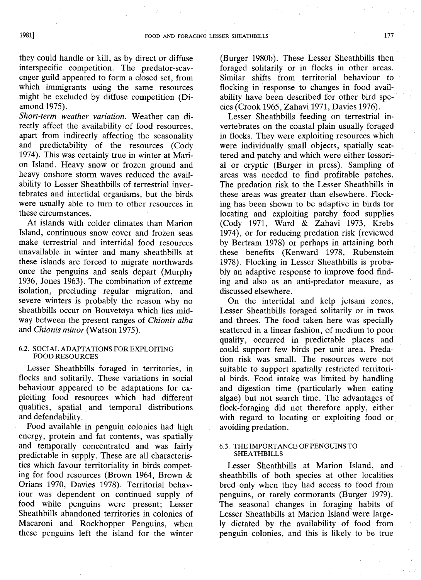they could handle or kill, as by direct or diffuse interspecific competition. The predator-scavenger guild appeared to form a closed set, from which immigrants using the same resources might be excluded by diffuse competition (Diamond 1975).

*Short-term weather variation.* Weather can directly affect the availability of food resources, apart from indirectly affecting the seasonality and predictability of the resources (Cody 1974). This was certainly true in winter at Marion Island. Heavy snow or frozen ground and heavy onshore storm waves reduced the availability to Lesser Sheathbills of terrestrial invertebrates and intertidal organisms, but the birds were usually able to turn to other resources in these circumstances.

At islands with colder climates than Marion Island, continuous snow cover and frozen seas make terrestrial and intertidal food resources unavailable in winter and many sheathbills at these islands are forced to migrate northwards once the penguins and seals depart (Murphy 1936, Jones 1963). The combination of extreme isolation, precluding regular migration, and severe winters is probably the reason why no sheathbills occur on Bouvetøya which lies midway between the present ranges of *Chionis alba* and *Chionis minor* (Watson 1975).

## 6.2. SOCIAL ADAPTATIONS FOR EXPLOITING FOOD RESOURCES

Lesser Sheathbills foraged in territories, in flocks and solitarily. These variations in social behaviour appeared to be adaptations for exploiting food resources which had different qualities, spatial and temporal distributions and defendability.

Food available in penguin colonies had high energy, protein and fat contents, was spatially and temporally concentrated and was fairly predictable in supply. These are all characteristics which favour territoriality in birds competing for food resources (Brown 1964, Brown & Orians 1970, Davies 1978). Territorial behaviour was dependent on continued supply of food while penguins were present; Lesser Sheathbills abandoned territories in colonies of Macaroni and Rockhopper Penguins, when these penguins left the island for the winter

(Burger 1980b). These Lesser Sheathbills then foraged solitarily or in flocks in other areas. Similar shifts from territorial behaviour to flocking in response to changes in food availability have been described for other bird species (Crook 1965, Zahavi 1971, Davies 1976).

Lesser Sheathbills feeding on terrestrial invertebrates on the coastal plain usually foraged in flocks. They were exploiting resources which were individually small objects, spatially scattered and patchy and which were either fossorial or cryptic (Burger in press). Sampling of areas was needed to find profitable patches. The predation risk to the Lesser Sheathbills in these areas was greater than elsewhere. Flocking has been shown to be adaptive in birds for locating and exploiting patchy food supplies (Cody 1971, Ward & Zahavi 1973, Krebs 1974), or for reducing predation risk (reviewed by Bertram 1978) or perhaps in attaining both these benefits (Kenward 1978, Rubenstein 1978). Flocking in Lesser Sheathbills is probably an adaptive response to improve food finding and also as an anti-predator measure, as discussed elsewhere.

On the intertidal and kelp jetsam zones, Lesser Sheathbills foraged solitarily or in twos and threes. The food taken here was specially scattered in a linear fashion, of medium to poor quality, occurred in predictable places and could support few birds per unit area. Predation risk was small. The resources were not suitable to support spatially restricted territorial birds. Food intake was limited by handling and digestion time (particularly when eating algae) but not search time. The advantages of flock-foraging did not therefore apply, either with regard to locating or exploiting food or avoiding predation.

## 6.3. THE IMPORTANCE OF PENGUINS TO SHEATHBILLS

Lesser Sheathbills at Marion Island, and sheathbills of both species at other localities bred only when they had access to food from penguins, or rarely cormorants (Burger 1979). The seasonal changes in foraging habits of Lesser Sheathbills at Marion Island were largely dictated by the availability of food from penguin colonies, and this is likely to be true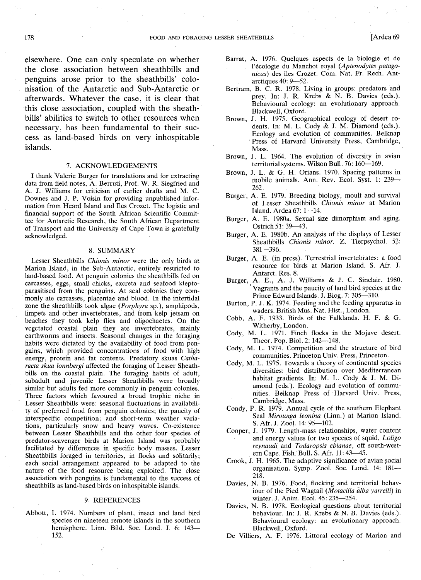elsewhere. One can only speculate on whether the close association between sheathbills and penguins arose prior to the sheathbills' colonisation of the Antarctic and Sub-Antarctic or afterwards. Whatever the case, it is clear that this close association, coupled with the sheathbills' abilities to switch to other resources when necessary, has been fundamental to their success as land-based birds on very inhospitable islands.

#### 7. ACKNOWLEDGEMENTS

I thank Valerie Burger for translations and for extracting data from field notes, A. Berruti, Prof. W. R. Siegfried and A. J. Williams for criticism of earlier drafts and M. C. Downes and J. P. Voisin for providing unpublished information from Heard Island and Iles Crozet. The logistic and financial support of the South African Scientific Committee for Antarctic Research, the South African Department of Transport and the University of Cape Town is gratefully acknowledged.

### 8. SUMMARY

Lesser Sheathbills *Chionis minor* were the only birds at Marion Island, in the Sub-Antarctic, entirely restricted to land-based food. At penguin colonies the sheathbills fed on carcasses, eggs, small chicks, excreta and seafood klepto- . parasitised from the penguins. At seal colonies they commonly ate carcasses, placentae and blood. In the intertidal zone the sheathbills took algae *(Porphyra* sp.), amphipods, limpets and other invertebrates, and from kelp jetsam on beaches they took kelp flies and oligochaetes. On the vegetated coastal plain they ate invertebrates, mainly earthworms and insects. Seasonal changes in the foraging habits were dictated by the availability of food from penguins, which provided concentrations of food with high energy, protein and fat contents. Predatory skuas *Catharacta skua lonnbergi* affected the foraging of Lesser Sheathbills on the coastal plain. The foraging habits of adult, subadult and juvenile Lesser Sheathbills were broadly similar but adults fed more commonly in penguin colonies. Three factors which favoured a broad trophic niche in Lesser Sheathbills were: seasonal fluctuations in availability of preferred food from penguin colonies; the paucity of interspecific competition; and short-term weather variations, particularly snow and heavy waves. Co-existence between Lesser Sheathbills and the other four species of predator-scavenger birds at Marion Island was probably facilitated by differences in specific body masses. Lesser Sheathbills foraged in territories, in flocks and solitarily; each social arrangement appeared to be adapted to the nature of the food resource being exploited. The close association with penguins is fundamental to the success of sheathbills as land-based birds on inhospitable islands.

### 9. REFERENCES

Abbott, 1. 1974. Numbers of plant, insect and land bird species dn nineteen remote islands in the southern hemisphere. Linn. Bild. Soc. Lond. J. 6: 143-152.

- Barrat, A. 1976. Quelques aspects de la biologie et de l'ecologie du Manchot royal *(Aptenodytes patago*nicus) des îles Crozet. Com. Nat. Fr. Rech. Antarctiques 40: 9-52.
- Bertram, B. C. R. 1978. Living in groups: predators and prey. In: J. R. Krebs & N. B. Davies (eds.). Behavioural ecology: an evolutionary approach. Blackwell, Oxford.
- Brown, J. H. 1975. Geographical ecology of desert rodents. In: M. L. Cody & J. M. Diamond (eds.). Ecology and evolution of communities. Belknap Press of Harvard University Press, Cambridge, Mass.
- Brown, J. L. 1964. The evolution of diversity in avian territorial systems. Wilson Bull. 76: 160-169.
- Brown, J. L. & G. H. Orians. 1970. Spacing patterns in mobile animals. Ann. Rev. Ecol. Syst. 1: 239-262.
- Burger, A. E. 1979. Breeding biology, moult and survival of Lesser Sheathbills *Chionis minor* at Marion Island. Ardea 67: 1-14.
- Burger, A. E. 1980a. Sexual size dimorphism and aging. Ostrich 51: 39-43.
- Burger, A. E. 1980b. An analysis of the displays of Lesser Sheathbills *Chionis minor.* Z. Tierpsychol. 52: 381-396.
- Burger, A. E. (in press). Terrestrial invertebrates: a food resource for birds at Marion Island. S. Afr. J. Antarct. Res. 8.
- Burger, A. E., A. J. Williams & J. C. Sinclair. 1980. 'Vagrants and the paucity of land bird species at the Prince Edward Islands. J. Biog. 7: 305-310.
- Burton, P. J. K. 1974. Feeding and the feeding apparatus in waders. British Mus. Nat. Hist., London.
- Cobb, A. F. 1933. Birds of the Falklands. H. F. & G. Witherby, London.
- Cody, M. L. 1971. Finch flocks in the Mojave desert. Theor. Pop. Biol. 2: 142-148.
- Cody, M. L. 1974. Competition and the structure of bird communities. Princeton Univ. Press, Princeton.
- Cody, M. L. 1975. Towards a theory of continental species diversities: bird distribution over Mediterranean habitat gradients. In: M. L. Cody & J. M. Diamond (eds.). Ecology and evolution of communities. Belknap Press of Harvard Univ. Press, Cambridge, Mass.
- Condy, P. R. 1979. Annual cycle of the southern Elephant Seal *Mirounga leonina* (Linn.) at Marion Island. S. Afr. J. Zool. 14: 95-102.
- Cooper, J. 1979. Length-mass relationships, water content and energy values for two species of squid, *Loligo reynaudi* and *Todaropsis eblanae,* off south-western Cape. Fish. Bull. S. Afr. 11: 43--45.
- Crook, J. H. 1965. The adaptive significance of avian social organisation. Symp. ZooI. Soc. Lond. 14: 181- 218.
- Davies, N. B. 1976. Food, flocking and territorial behaviour of the Pied Wagtail *(Motacilla alba yarrelli)* in winter. J. Anim. Ecol. 45: 235-254.
- Davies, N. B. 1978. Ecological questions about territorial behaviour. In: J. R. Krebs & N. B. Davies (eds.). Behavioural ecology: an evolutionary approach. Blackwell, Oxford.
- De Villiers, A. F. 1976. Littoral ecology of Marion and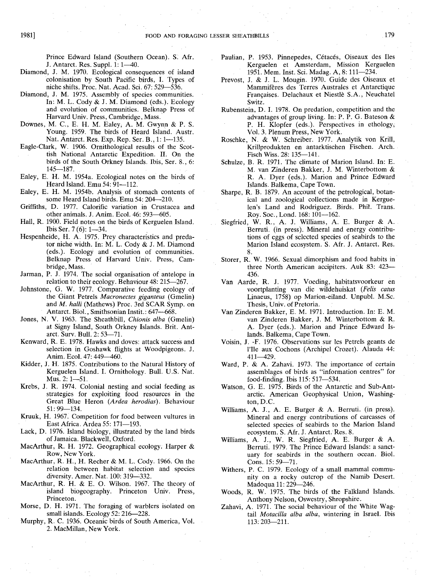Prince Edward Island (Southern Ocean). S. Afr. J. Antarct. Res. Suppl. 1: 1-40.

- Diamond, J. M. 1970. Ecological consequences of island colonisation by South Pacific birds, I. Types of niche shifts. Proc. Nat. Acad. Sci. 67: 529-536.
- Diamond, J. M. 1975. Assembly of species communities. In: M. L. Cody & J. M. Diamond (eds.). Ecology and evolution of communities. Belknap Press of Harvard Univ. Press, Cambridge, Mass.'
- Downes, M. C., E. H. M. Ealey, A. M. Gwynn & P. S. Young. 1959. The birds of Heard Island. Austr. Nat. Antarct. Res. Exp. Rep. Ser. B., 1: 1-135.
- Eagle-Clark, W. 1906. Ornithological results of the Scottish National Antarctic Expedition. **II.** On the birds of the South Orkney Islands. Ibis, Ser. 8., 6:  $145 - 187$ .
- Ealey, E. H. M. 1954a. Ecological notes on the birds of Heard Island. Emu 54: 91-112.
- Ealey, E. H. M. 1954b. Analysis of stomach contents of some Heard Island birds. Emu 54: 204-210.
- Griffiths, D. 1977. Calorific variation in Crustacea and other animals. J. Anim. Ecol. 46: 593-605.
- Hall, R. 1900. Field notes on the birds of Kerguelen Island. Ibis Ser. 7 (6): 1-34.
- Hespenheide, H. A. 1975. Prey characteristics and predator niche width. In: M. L. Cody & J. M. Diamond (eds.). Ecology and evolution of communities. Belknap Press of Harvard Univ. Press, Cambridge, Mass.
- Jarman, P. J. 1974. The social organisation of antelope in relation to their ecology. Behaviour 48: 215-267.
- Johnstone, G. W. 1977. Comparative feeding ecology of the Giant Petrels *Macronectes giganteus* (Gmelin) and *M. halli* (Mathews) Proc. 3rd SCAR Symp. on Antarct. Biol., Smithsonian Instit.: 647-668.
- Jones, N. V. 1963. The Sheathbill, *Chionis alba* (Gmelin) at Signy Island, South Orkney Islands. Brit. Antarct. Surv. Bull. 2: 53-71.
- Kenward, R. E. 1978. Hawks and doves: attack success and selection in Goshawk flights at Woodpigeons. J. Anim. Ecol. 47: 449-460.
- Kidder, J. H. 1875. Contributions to the Natural History of Kerguelen Island. I. Ornithology. Bull. U.S. Nat. Mus. 2: 1-51.
- Krebs, J. R. 1974. Colonial nesting and social feeding as strategies for exploiting food resources in the Great Blue Heron *(Ardea herodias).* Behaviour 51: 99-134.
- Kruuk, H. 1967. Competition for food between vultures in East Africa. Ardea 55: 171-193.
- Lack, D. 1976. Island biology, illustrated by the land birds of Jamaica. Blackwell, Oxford.
- MacArthur, R. H. 1972. Geographical ecology; Harper & Row, New York.
- MacArthur, R. H., H. Recher & M. L. Cody. 1966. On the relation between habitat selection and species diversity. Amer. Nat. 100: 319-332.
- MacArthur, R. H. & E. O. Wilson. 1967. The theory of island biogeography. Princeton Univ. Press, Princeton.
- Morse, D. H. 1971. The foraging of warblers isolated on small islands. Ecology 52: 216-228.
- Murphy, R. C. 1936. Oceanic birds of South America, Vol. 2. MacMillan, New York.
- Paulian, P. 1953. Pinnepedes, Cétacés, Oiseaux des Iles Kerguelen et Amsterdam, Mission Kerguelen 1951. Mem. Inst. Sci. Madag. A, 8: 111-234.
- Prevost, J. & J. L. Mougin. 1970. Guide des Oiseaux et Mammiferes des Terres Australes et Antarctique Françaises. Delachaux et Niestlè S.A., Neuchatel Switz.
- Rubenstein, D. I. 1978. On predation, competition and the advantages of group living. In: P. P. G. Bateson & P. H. Klopfer (eds.). Perspectives in ethology; Vol. 3. Plenum Press, New York.
- Roschke, N. & W. Schreiber. 1977. Analytik von Krill, Krillprodukten en antarktischen Fischen. Arch. Fisch Wiss. 28: 135-141.
- Schulze, B. R. 1971. The climate of Marion Island. In: E. M. van Zinderen Bakker, J. M. Winterbottom & R. A. Dyer (eds.). Marion and Prince Edward Islands. Balkema, Cape Town.
- Sharpe, R. B. 1879. An account of the petrological, botanical and zoological collections made in Kerguelen's Land and Rodriguez. Birds. Phil. Trans. Roy. Soc., Lond. 168: 101-162.
- Siegfried, W. R., A. J. Williams, A. E. Burger & A. Berruti. (in press). Mineral and energy contributions of eggs of selected species of seabirds to the Marion Island ecosystem. S. Afr. J. Antarct. Res. 8.
- Storer, R. W. 1966. Sexual dimorphism and food habits in three North American accipiters. Auk 83: 423- 436.
- Van Aarde, R. J. 1977. Voeding, habitatsvoorkeur en voortplanting van die wildehuiskat *(Felis catus* Linaeus, 1758) op Marion-eiland. Unpubl. M.Sc. Thesis, Univ. of Pretoria.
- Van Zinderen Bakker, E. M. 1971. Introduction. In: E. M. van Zinderen Bakker, J. M. Winterbottom & R. A. Dyer (eds.). Marion and Prince Edward Islands. Balkema, Cape Town.
- Voisin, J. -F. 1976. Observations sur les Petrels geants de l'Ile aux Cochons (Archipel Crozet). Alauda 44: 411-429.
- Ward, P. & A. Zahavi. 1973. The importance of certain assemblages of birds as "information centres" for food-finding. Ibis 115: 517-534.
- Watson, G. E. 1975. Birds of the Antarctic and Sub-Antarctic. American Geophysical Union, Washington, D.C.
- Williams, A. J., A. E. Burger & A. Berruti. (in press). Mineral and energy contributions of carcasses of selected species of seabirds to the Marion Island ecosystem. S. Afr. J. Antarct. Res. 8.
- Williams, A. J., W. R. Siegfried, A. E. Burger & A. Berruti. 1979. The Prince Edward Islands: a sanctuary for seabirds in the southern ocean. BioI. Cons. 15: 59-71.
- Withers, P. C. 1979. Ecology of a small mammal community on a rocky outcrop of the Namib Desert. Madoqua 11: 229-246.
- Woods, R. W. 1975. The birds of the Falkland Islands. Anthony Nelson, Oswestry, Shropshire.
- Zahavi, A. 1971. The social behaviour of the White Wagtail *Motacilla alba alba,* wintering in Israel. Ibis 113: 203-211.